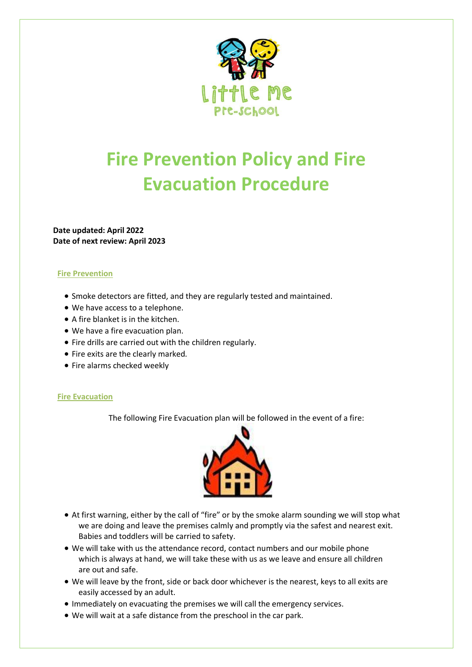

## **Fire Prevention Policy and Fire Evacuation Procedure**

**Date updated: April 2022 Date of next review: April 2023**

#### **Fire Prevention**

- Smoke detectors are fitted, and they are regularly tested and maintained.
- We have access to a telephone.
- A fire blanket is in the kitchen.
- We have a fire evacuation plan.
- Fire drills are carried out with the children regularly.
- Fire exits are the clearly marked.
- Fire alarms checked weekly

#### **Fire Evacuation**

The following Fire Evacuation plan will be followed in the event of a fire:



- At first warning, either by the call of "fire" or by the smoke alarm sounding we will stop what we are doing and leave the premises calmly and promptly via the safest and nearest exit. Babies and toddlers will be carried to safety.
- We will take with us the attendance record, contact numbers and our mobile phone which is always at hand, we will take these with us as we leave and ensure all children are out and safe.
- We will leave by the front, side or back door whichever is the nearest, keys to all exits are easily accessed by an adult.
- Immediately on evacuating the premises we will call the emergency services.
- We will wait at a safe distance from the preschool in the car park.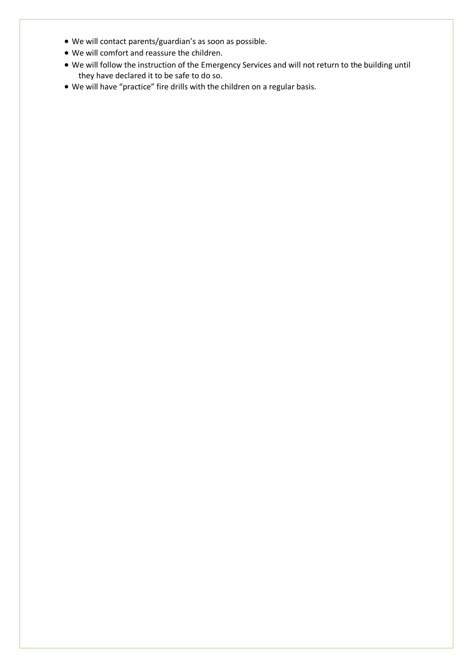- We will contact parents/guardian's as soon as possible.
- We will comfort and reassure the children.
- We will follow the instruction of the Emergency Services and will not return to the building until they have declared it to be safe to do so.
- We will have "practice" fire drills with the children on a regular basis.